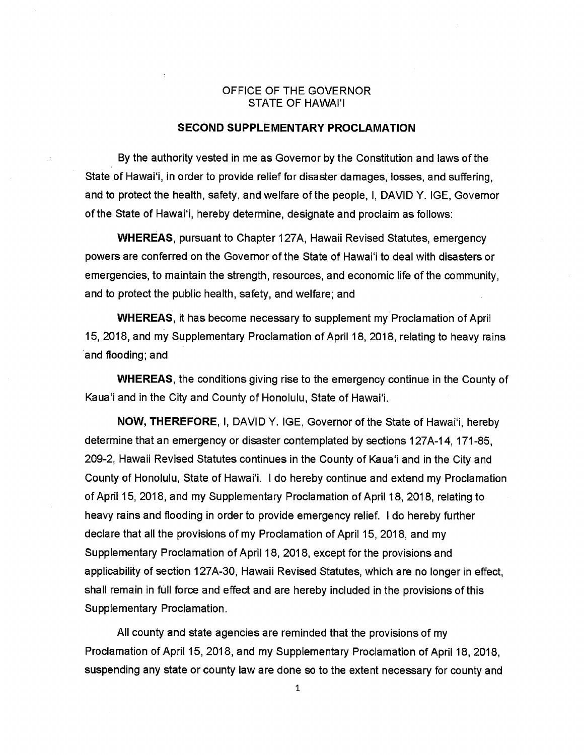## OFFICE OF THE GOVERNOR STATE OF HAWAI'I

## SECOND SUPPLEMENTARY PROCLAMATION

By the authority vested in me as Governor by the Constitution and laws of the State of Hawai'i, in order to provide relief for disaster damages, losses, and suffering, and to protect the health, safety, and welfare of the people, I, DAVID Y. IGE, Governor of the State of Hawai'i, hereby determine, designate and proclaim as follows:

WHEREAS, pursuant to Chapter <sup>1</sup> 27A, Hawaii Revised Statutes, emergency powers are conferred on the Governor of the State of Hawai'i to deal with disasters or emergencies, to maintain the strength, resources, and economic life of the community, and to protect the public health, safety, and welfare; and

WHEREAS, it has become necessary to supplement my Proclamation of April 15, 2018, and my Supplementary Proclamation of April 18, 2018, relating to heavy rains and flooding; and

WHEREAS, the conditions giving rise to the emergency continue in the County of Kaua'i and in the City and County of Honolulu, State of Hawaii.

NOW, THEREFORE, I, DAVID Y. IGE, Governor of the State of Hawai'i, hereby determine that an emergency or disaster contemplated by sections 127A-14, 171-85, 209-2, Hawaii Revised Statutes continues in the County of Kaua'i and in the City and County of Honolulu, State of Hawaii. <sup>I</sup> do hereby continue and extend my Proclamation of April 15, 2018, and my Supplementary Proclamation of April 18, 2018, relating to heavy rains and flooding in order to provide emergency relief. <sup>I</sup> do hereby further declare that all the provisions of my Proclamation of April 15, 2018, and my Supplementary Proclamation of April <sup>1</sup> 8, 2018, except for the provisions and applicability of section 127A-30, Hawaii Revised Statutes, which are no longer in effect, shall remain in full force and effect and are hereby included in the provisions of this Supplementary Proclamation.

All county and state agencies are reminded that the provisions of my Proclamation of April 15, 2018, and my Supplementary Proclamation of April 18, 2018, suspending any state or county law are done so to the extent necessary for county and

1